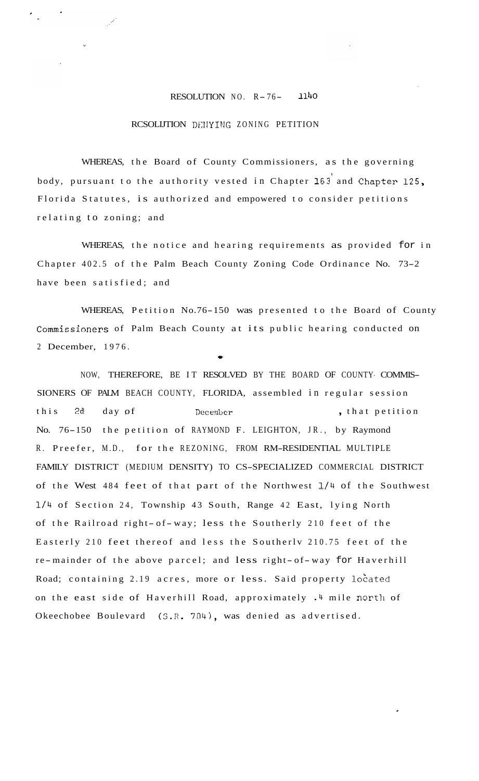## RESOLUTION NO. R- 7 6- **<sup>1140</sup>**

## RCSOLIJTION DENYING ZONING PETITION

WHEREAS, the Board of County Commissioners, as the governing body, pursuant to the authority vested in Chapter **163'** and Chapter 125, Florida Statutes, is authorized and empowered to consider petitions relating to zoning; and

WHEREAS, the notice and hearing requirements as provided for in Chapter 402.5 of the Palm Beach County Zoning Code Ordinance No. 73-2 have been satisfied; and

WHEREAS, Petition No.76-150 was presented to the Board of County Commissioners of Palm Beach County at its public hearing conducted on 2 December, 1976. \*

NOW, THEREFORE, BE IT RESOLVED BY THE BOARD OF COUNTY- COMMIS-SIONERS OF PALM BEACH COUNTY, FLORIDA, assembled in regular session this 2d day of December , that petition No. 76-150 the petition of RAYMOND F. LEIGHTON, JR., by Raymond R. Preefer, M.D., for the REZONING, FROM RM-RESIDENTIAL MULTIPLE FAMILY DISTRICT (MEDIUM DENSITY) TO CS-SPECIALIZED COMMERCIAL DISTRICT of the West 484 feet of that part of the Northwest 1/4 of the Southwest 1/4 of Section 24, Township 43 South, Range 42 East, lying North of the Railroad right- of-way; less the Southerly 210 feet of the Easterly 210 feet thereof and less the Southerlv 210.75 feet of the re-mainder of the above parcel; and less right-of-way for Haverhill Road; containing 2.19 acres, more or less. Said property located on the east side of Haverhill Road, approximately .4 mile north of Okeechobee Boulevard (S.R. 704), was denied as advertised.